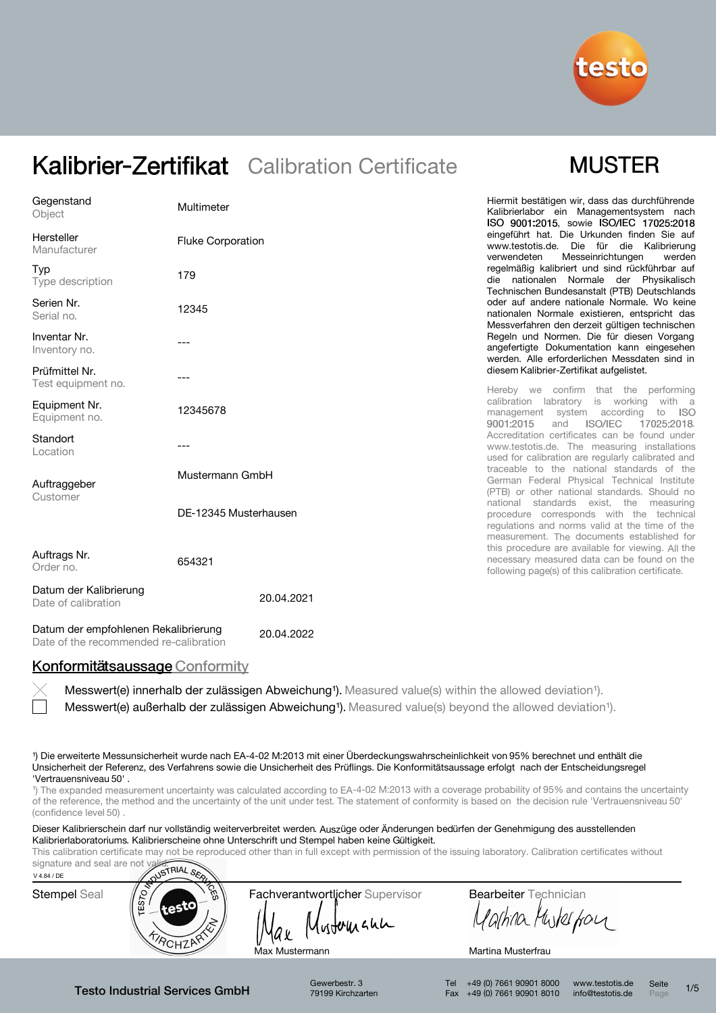

## **MUSTER**

| Gegenstand<br>Object                          | Multimeter               | Hiermit bestätigen wir, dass das durchführende<br>Kalibrierlabor ein Managementsystem nach<br>ISO 9001:2015, sowie ISO/IEC 17025:2018                                               |
|-----------------------------------------------|--------------------------|-------------------------------------------------------------------------------------------------------------------------------------------------------------------------------------|
| Hersteller<br>Manufacturer                    | <b>Fluke Corporation</b> | eingeführt hat. Die Urkunden finden Sie auf<br>www.testotis.de. Die für die Kalibrierung<br>Messeinrichtungen<br>verwendeten<br>werden                                              |
| Typ<br>Type description                       | 179                      | regelmäßig kalibriert und sind rückführbar auf<br>die nationalen Normale der Physikalisch<br>Technischen Bundesanstalt (PTB) Deutschlands                                           |
| Serien Nr.<br>Serial no.                      | 12345                    | oder auf andere nationale Normale. Wo keine<br>nationalen Normale existieren, entspricht das<br>Messverfahren den derzeit gültigen technischen                                      |
| Inventar Nr.<br>Inventory no.                 |                          | Regeln und Normen. Die für diesen Vorgang<br>angefertigte Dokumentation kann eingesehen<br>werden. Alle erforderlichen Messdaten sind in                                            |
| Prüfmittel Nr.<br>Test equipment no.          |                          | diesem Kalibrier-Zertifikat aufgelistet.<br>Hereby we confirm that the performing                                                                                                   |
| Equipment Nr.<br>Equipment no.                | 12345678                 | calibration labratory is working with a<br>management system according<br>to ISO<br>9001:2015<br><b>ISO/IEC</b><br>and<br>17025:2018.                                               |
| Standort<br>Location                          |                          | Accreditation certificates can be found under<br>www.testotis.de. The measuring installations<br>used for calibration are regularly calibrated and                                  |
| Auftraggeber<br>Customer                      | Mustermann GmbH          | traceable to the national standards of the<br>German Federal Physical Technical Institute<br>(PTB) or other national standards. Should no                                           |
|                                               | DE-12345 Musterhausen    | national standards exist, the measuring<br>procedure corresponds with the technical<br>regulations and norms valid at the time of the<br>measurement. The documents established for |
| Auftrags Nr.<br>Order no.                     | 654321                   | this procedure are available for viewing. All the<br>necessary measured data can be found on the<br>following page(s) of this calibration certificate.                              |
| Datum der Kalibrierung<br>Date of calibration | 20.04.2021               |                                                                                                                                                                                     |

Datum der empfohlenen Rekalibrierung Date of the recommended re-calibration 20.04.2022

### Konformitätsaussage Conformity

Messwert(e) außerhalb der zulässigen Abweichung<sup>1</sup>). Measured value(s) beyond the allowed deviation<sup>1</sup>). Messwert(e) innerhalb der zulässigen Abweichung<sup>1</sup>). Measured value(s) within the allowed deviation<sup>1</sup>).

¹) Die erweiterte Messunsicherheit wurde nach EA-4-02 M:2013 mit einer Überdeckungswahrscheinlichkeit von 95% berechnet und enthält die Unsicherheit der Referenz, des Verfahrens sowie die Unsicherheit des Prüflings. Die Konformitätsaussage erfolgt nach der Entscheidungsregel 'Vertrauensniveau 50' .

<sup>1</sup>) The expanded measurement uncertainty was calculated according to EA-4-02 M:2013 with a coverage probability of 95% and contains the uncertainty of the reference, the method and the uncertainty of the unit under test. The statement of conformity is based on the decision rule 'Vertrauensniveau 50' (confidence level 50)

Dieser Kalibrierschein darf nur vollständig weiterverbreitet werden. Auszüge oder Änderungen bedürfen der Genehmigung des ausstellenden Kalibrierlaboratoriums. Kalibrierscheine ohne Unterschrift und Stempel haben keine Gültigkeit.

This calibration certificate may not be reproduced other than in full except with permission of the issuing laboratory. Calibration certificates without



Testo Industrial Services GmbH

Gewerbestr. 3 79199 Kirchzarten

Tel +49 (0) 7661 90901 8000 Fax +49 (0) 7661 90901 8010 www.testotis.de info@testotis.de Seite  $P_{\text{A}}$  1/5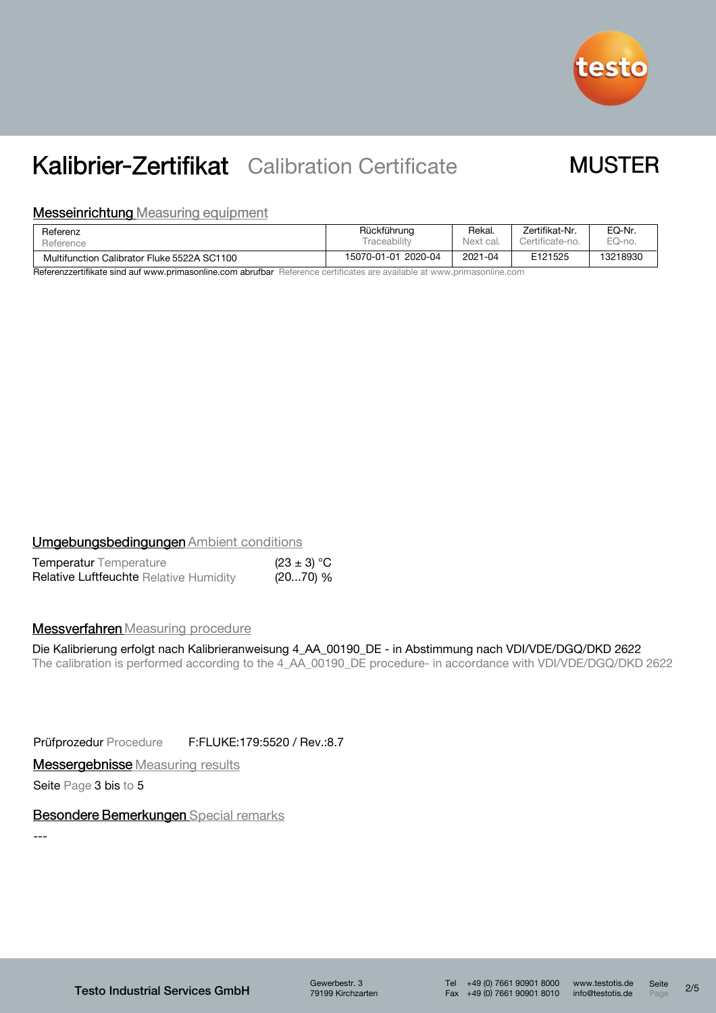

## **MUSTER**

#### **Messeinrichtung Measuring equipment**

| Referenz                                    | Rückführung            | Rekal.    | Zertifikat-Nr.  | EQ-Nr.   |
|---------------------------------------------|------------------------|-----------|-----------------|----------|
| Reference                                   | <b>Traceabilit</b>     | Next cal. | Certificate-no. | EQ-no.   |
| Multifunction Calibrator Fluke 5522A SC1100 | 2020-04<br>15070-01-01 | 2021-04   | E121525         | 13218930 |

Referenzzertifikate sind auf www.primasonline.com abrufbar Reference certificates are available at www.primasonline.com

### **Umgebungsbedingungen Ambient conditions**

| <b>Temperatur</b> Temperature                 | $(23 \pm 3) °C$ |  |
|-----------------------------------------------|-----------------|--|
| <b>Relative Luftfeuchte Relative Humidity</b> | (2070) %        |  |

### **Messverfahren** Measuring procedure

### Die Kalibrierung erfolgt nach Kalibrieranweisung 4\_AA\_00190\_DE - in Abstimmung nach VDI/VDE/DGQ/DKD 2622

The calibration is performed according to the 4\_AA\_00190\_DE procedure- in accordance with VDI/VDE/DGQ/DKD 2622

Prüfprozedur Procedure F:FLUKE:179:5520 / Rev.:8.7

**Messergebnisse** Measuring results

Seite Page 3 bis to 5

### Besondere Bemerkungen Special remarks

---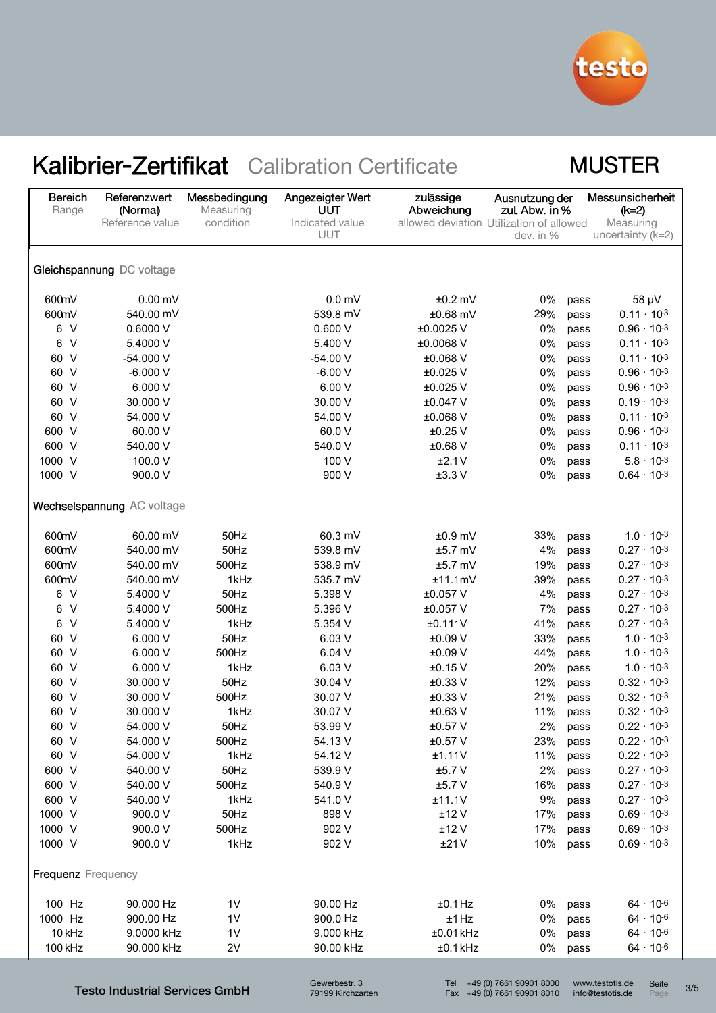

## **MUSTER**

| <b>Bereich</b><br>Range   | Referenzwert<br>(Normal)<br>Reference value | Messbedingung<br>Measuring<br>condition | Angezeigter Wert<br>UUT<br>Indicated value | zulässige<br>Abweichung<br>allowed deviation Utilization of allowed | Ausnutzung der<br>zul. Abw. in % |      | Messunsicherheit<br>$(k=2)$<br>Measuring |
|---------------------------|---------------------------------------------|-----------------------------------------|--------------------------------------------|---------------------------------------------------------------------|----------------------------------|------|------------------------------------------|
|                           |                                             |                                         | UUT                                        |                                                                     | dev. in %                        |      | uncertainty $(k=2)$                      |
|                           | Gleichspannung DC voltage                   |                                         |                                            |                                                                     |                                  |      |                                          |
| 600mV                     | $0.00$ mV                                   |                                         | 0.0 <sub>m</sub>                           | $±0.2$ mV                                                           | 0%                               | pass | 58 µV                                    |
| 600mV                     | 540.00 mV                                   |                                         | 539.8 mV                                   | $±0.68$ mV                                                          | 29%                              | pass | $0.11 \cdot 10^{-3}$                     |
| 6 V                       | 0.6000 V                                    |                                         | 0.600V                                     | ±0.0025 V                                                           | 0%                               | pass | $0.96 \cdot 10^{-3}$                     |
| $\vee$<br>6               | 5.4000 V                                    |                                         | 5.400 V                                    | ±0.0068 V                                                           | 0%                               | pass | $0.11 \cdot 10^{-3}$                     |
| 60 V                      | $-54.000V$                                  |                                         | $-54.00V$                                  | ±0.068 V                                                            | 0%                               | pass | $0.11 \cdot 10^{-3}$                     |
| 60 V                      | $-6.000V$                                   |                                         | $-6.00V$                                   | ±0.025 V                                                            | 0%                               | pass | $0.96 \cdot 10^{-3}$                     |
| 60 V                      | 6.000V                                      |                                         | 6.00 V                                     | ±0.025 V                                                            | 0%                               | pass | $0.96 \cdot 10^{-3}$                     |
| 60 V                      | 30.000 V                                    |                                         | 30.00 V                                    | ±0.047 V                                                            | 0%                               | pass | $0.19 \cdot 10^{-3}$                     |
| 60 V                      | 54.000 V                                    |                                         | 54.00 V                                    | ±0.068 V                                                            | 0%                               | pass | $0.11 \cdot 10^{-3}$                     |
| 600 V                     | 60.00 V                                     |                                         | 60.0 V                                     | $±0.25$ V                                                           | 0%                               | pass | $0.96 \cdot 10^{-3}$                     |
| 600 V                     | 540.00 V                                    |                                         | 540.0 V                                    | $±0.68$ V                                                           | 0%                               | pass | $0.11 \cdot 10^{-3}$                     |
| 1000 V                    | 100.0 V                                     |                                         | 100 V                                      | ±2.1V                                                               | 0%                               | pass | $5.8 \cdot 10^{-3}$                      |
| 1000 V                    | 900.0 V                                     |                                         | 900 V                                      | ±3.3V                                                               | 0%                               | pass | $0.64 \cdot 10^{-3}$                     |
|                           | Wechselspannung AC voltage                  |                                         |                                            |                                                                     |                                  |      |                                          |
| 600mV                     | 60.00 mV                                    | 50Hz                                    | 60.3 mV                                    | $±0.9$ mV                                                           | 33%                              | pass | $1.0 \cdot 10^{-3}$                      |
| 600mV                     | 540.00 mV                                   | 50Hz                                    | 539.8 mV                                   | $±5.7$ mV                                                           | 4%                               | pass | $0.27 \cdot 10^{-3}$                     |
| 600mV                     | 540.00 mV                                   | 500Hz                                   | 538.9 mV                                   | $±5.7$ mV                                                           | 19%                              | pass | $0.27 \cdot 10^{-3}$                     |
| 600mV                     | 540.00 mV                                   | 1kHz                                    | 535.7 mV                                   | ±11.1mV                                                             | 39%                              | pass | $0.27 \cdot 10^{-3}$                     |
| 6 V                       | 5.4000 V                                    | 50Hz                                    | 5.398 V                                    | ±0.057 V                                                            | 4%                               | pass | $0.27 \cdot 10^{-3}$                     |
| $\vee$<br>6               | 5.4000 V                                    | 500Hz                                   | 5.396 V                                    | ±0.057 V                                                            | 7%                               | pass | $0.27 \cdot 10^{-3}$                     |
| $\vee$<br>6               | 5.4000 V                                    | 1kHz                                    | 5.354 V                                    | ±0.11'V                                                             | 41%                              | pass | $0.27 \cdot 10^{-3}$                     |
| 60 V                      | 6.000 V                                     | 50Hz                                    | 6.03 V                                     | ±0.09 V                                                             | 33%                              | pass | $1.0 \cdot 10^{-3}$                      |
| 60 V                      | 6.000V                                      | 500Hz                                   | 6.04V                                      | $±0.09$ V                                                           | 44%                              | pass | $1.0 \cdot 10^{-3}$                      |
| 60 V                      | 6.000 V                                     | 1kHz                                    | 6.03 V                                     | $±0.15$ V                                                           | 20%                              | pass | $1.0 \cdot 10^{-3}$                      |
| 60 V                      | 30.000 V                                    | 50Hz                                    | 30.04 V                                    | $±0.33$ V                                                           | 12%                              | pass | $0.32 \cdot 10^{-3}$                     |
| $\vee$<br>60              | 30.000 V                                    | 500Hz                                   | 30.07 V                                    | $±0.33$ V                                                           | 21%                              | pass | $0.32 \cdot 10^{-3}$                     |
| 60 V                      | 30.000 V                                    | 1kHz                                    | 30.07 V                                    | $±0.63$ V                                                           | 11%                              | pass | $0.32 \cdot 10^{-3}$                     |
| 60 V                      | 54.000 V                                    | 50Hz                                    | 53.99 V                                    | $±0.57$ V                                                           | 2%                               | pass | $0.22 \cdot 10^{-3}$                     |
| 60 V                      | 54.000 V                                    | 500Hz                                   | 54.13 V                                    | $±0.57$ V                                                           | 23%                              | pass | $0.22 \cdot 10^{-3}$                     |
| 60 V                      | 54.000 V                                    | 1kHz                                    | 54.12 V                                    | ±1.11V                                                              | 11%                              | pass | $0.22 \cdot 10^{-3}$                     |
| 600 V                     | 540.00 V                                    | 50Hz                                    | 539.9 V                                    | ±5.7V                                                               | 2%                               | pass | $0.27 \cdot 10^{-3}$                     |
| 600 V                     | 540.00 V                                    | 500Hz                                   | 540.9 V                                    | ±5.7V                                                               | 16%                              | pass | $0.27 \cdot 10^{-3}$                     |
| 600 V                     | 540.00 V                                    | 1kHz                                    | 541.0 V                                    | ±11.1V                                                              | 9%                               | pass | $0.27 \cdot 10^{-3}$                     |
| 1000 V                    | 900.0 V                                     | 50Hz                                    | 898 V                                      | ±12V                                                                | 17%                              | pass | $0.69 \cdot 10^{-3}$                     |
| 1000 V                    | 900.0 V                                     | 500Hz                                   | 902 V                                      | ±12V                                                                | 17%                              | pass | $0.69 \cdot 10^{-3}$                     |
| 1000 V                    | 900.0 V                                     | 1kHz                                    | 902 V                                      | ±21V                                                                | 10%                              | pass | $0.69 \cdot 10^{-3}$                     |
| <b>Frequenz</b> Frequency |                                             |                                         |                                            |                                                                     |                                  |      |                                          |
| 100 Hz                    | 90.000 Hz                                   | 1 <sub>V</sub>                          | 90.00 Hz                                   | $±0.1$ Hz                                                           | 0%                               | pass | $64 \cdot 10^{-6}$                       |
| 1000 Hz                   | 900.00 Hz                                   | 1 <sub>V</sub>                          | 900.0 Hz                                   | ±1 Hz                                                               | 0%                               | pass | $64 \cdot 10^{-6}$                       |
| 10 kHz                    | 9.0000 kHz                                  | 1 <sub>V</sub>                          | 9.000 kHz                                  | ±0.01 kHz                                                           | 0%                               | pass | $64 \cdot 10^{-6}$                       |
| 100 kHz                   | 90.000 kHz                                  | 2V                                      | 90.00 kHz                                  | $±0.1$ kHz                                                          | 0%                               | pass | $64 \cdot 10^{-6}$                       |
|                           |                                             |                                         |                                            |                                                                     |                                  |      |                                          |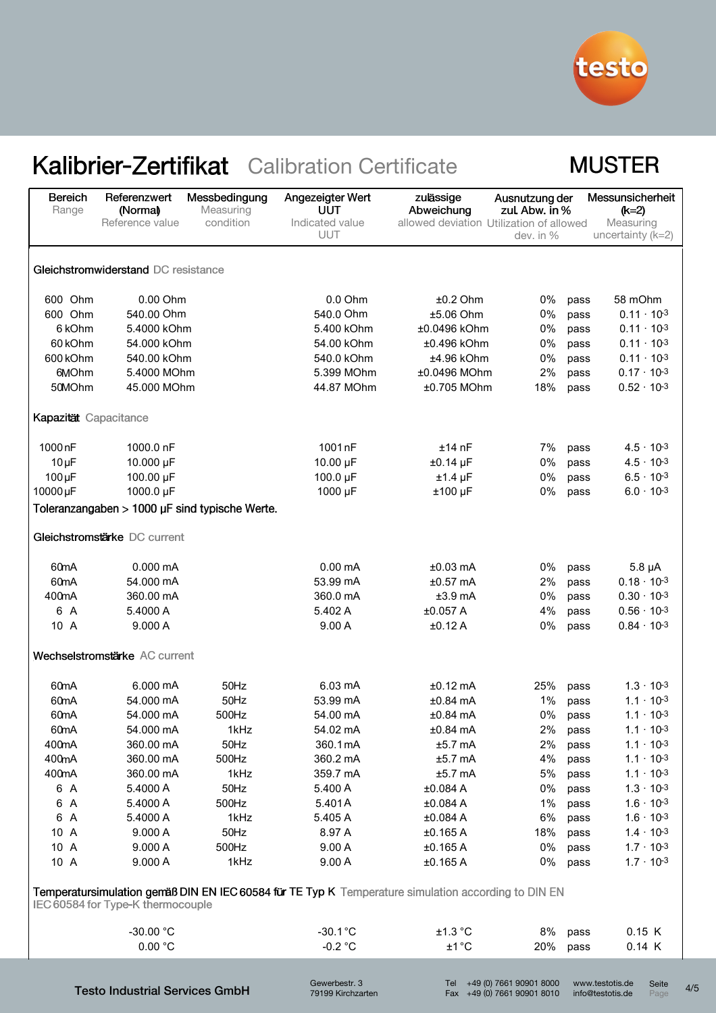

## **MUSTER**

| <b>Bereich</b><br>Range                                                                                                                  | Referenzwert<br>(Normal)<br>Reference value | Messbedingung<br>Measuring<br>condition        | Angezeigter Wert<br>UUT<br>Indicated value<br>UUT | zulässige<br>Abweichung<br>allowed deviation Utilization of allowed | Ausnutzung der<br>zul. Abw. in %<br>dev. in % |      | Messunsicherheit<br>$(k=2)$<br>Measuring<br>uncertainty $(k=2)$ |  |
|------------------------------------------------------------------------------------------------------------------------------------------|---------------------------------------------|------------------------------------------------|---------------------------------------------------|---------------------------------------------------------------------|-----------------------------------------------|------|-----------------------------------------------------------------|--|
| Gleichstromwiderstand DC resistance                                                                                                      |                                             |                                                |                                                   |                                                                     |                                               |      |                                                                 |  |
| 600 Ohm                                                                                                                                  | 0.00 Ohm                                    |                                                | $0.0$ Ohm                                         | $±0.2$ Ohm                                                          | 0%                                            | pass | 58 mOhm                                                         |  |
| 600 Ohm                                                                                                                                  | 540.00 Ohm                                  |                                                | 540.0 Ohm                                         | ±5.06 Ohm                                                           | 0%                                            | pass | $0.11 \cdot 10^{-3}$                                            |  |
| 6 kOhm                                                                                                                                   | 5.4000 kOhm                                 |                                                | 5.400 kOhm                                        | ±0.0496 kOhm                                                        | 0%                                            | pass | $0.11 \cdot 10^{-3}$                                            |  |
| 60 kOhm                                                                                                                                  | 54.000 kOhm                                 |                                                | 54.00 kOhm                                        | ±0.496 kOhm                                                         | 0%                                            | pass | $0.11 \cdot 10^{-3}$                                            |  |
| 600 kOhm                                                                                                                                 | 540.00 kOhm                                 |                                                | 540.0 kOhm                                        | $±4.96$ kOhm                                                        | 0%                                            | pass | $0.11 \cdot 10^{-3}$                                            |  |
| 6MOhm                                                                                                                                    | 5.4000 MOhm                                 |                                                | 5.399 MOhm                                        | ±0.0496 MOhm                                                        | 2%                                            | pass | $0.17 \cdot 10^{-3}$                                            |  |
| 50MOhm                                                                                                                                   | 45.000 MOhm                                 |                                                | 44.87 MOhm                                        | $±0.705$ MOhm                                                       | 18%                                           | pass | $0.52 \cdot 10^{-3}$                                            |  |
| Kapazität Capacitance                                                                                                                    |                                             |                                                |                                                   |                                                                     |                                               |      |                                                                 |  |
| 1000 <sub>n</sub> F                                                                                                                      | 1000.0 nF                                   |                                                | 1001 nF                                           | $±14$ nF                                                            | 7%                                            | pass | $4.5 \cdot 10^{-3}$                                             |  |
| $10 \mu F$                                                                                                                               | 10.000 µF                                   |                                                | $10.00 \mu F$                                     | $±0.14$ µF                                                          | 0%                                            | pass | $4.5 \cdot 10^{-3}$                                             |  |
| $100 \mu F$                                                                                                                              | 100.00 µF                                   |                                                | 100.0 µF                                          | $±1.4$ µF                                                           | 0%                                            | pass | $6.5 \cdot 10^{-3}$                                             |  |
| 10000 µF                                                                                                                                 | 1000.0 µF                                   |                                                | 1000 µF                                           | $±100$ µF                                                           | 0%                                            | pass | $6.0 \cdot 10^{-3}$                                             |  |
|                                                                                                                                          |                                             | Toleranzangaben > 1000 µF sind typische Werte. |                                                   |                                                                     |                                               |      |                                                                 |  |
|                                                                                                                                          | Gleichstromstärke DC current                |                                                |                                                   |                                                                     |                                               |      |                                                                 |  |
| 60 <sub>m</sub> A                                                                                                                        | $0.000 \, \text{mA}$                        |                                                | $0.00 \text{ mA}$                                 | $±0.03$ mA                                                          | 0%                                            | pass | $5.8 \mu A$                                                     |  |
| 60 <sub>m</sub> A                                                                                                                        | 54.000 mA                                   |                                                | 53.99 mA                                          | $±0.57$ mA                                                          | 2%                                            | pass | $0.18 \cdot 10^{-3}$                                            |  |
| 400mA                                                                                                                                    | 360.00 mA                                   |                                                | 360.0 mA                                          | $±3.9$ mA                                                           | 0%                                            | pass | $0.30 \cdot 10^{-3}$                                            |  |
| 6 A                                                                                                                                      | 5.4000 A                                    |                                                | 5.402 A                                           | ±0.057 A                                                            | 4%                                            | pass | $0.56 \cdot 10^{-3}$                                            |  |
| 10 A                                                                                                                                     | 9.000 A                                     |                                                | 9.00A                                             | ±0.12A                                                              | 0%                                            | pass | $0.84 \cdot 10^{-3}$                                            |  |
|                                                                                                                                          | Wechselstromstärke AC current               |                                                |                                                   |                                                                     |                                               |      |                                                                 |  |
| 60 <sub>m</sub> A                                                                                                                        | 6.000 mA                                    | 50Hz                                           | 6.03 mA                                           | $±0.12$ mA                                                          | 25%                                           | pass | $1.3 \cdot 10^{-3}$                                             |  |
| 60 <sub>m</sub> A                                                                                                                        | 54.000 mA                                   | 50Hz                                           | 53.99 mA                                          | $±0.84$ mA                                                          | 1%                                            | pass | $1.1 \cdot 10^{-3}$                                             |  |
| 60 <sub>m</sub> A                                                                                                                        | 54.000 mA                                   | 500Hz                                          | 54.00 mA                                          | $±0.84$ mA                                                          | 0%                                            | pass | $1.1 \cdot 10^{-3}$                                             |  |
| 60mA                                                                                                                                     | 54.000 mA                                   | 1kHz                                           | 54.02 mA                                          | $±0.84$ mA                                                          | 2%                                            | pass | $1.1 \cdot 10^{-3}$                                             |  |
| 400mA                                                                                                                                    | 360.00 mA                                   | 50Hz                                           | 360.1 mA                                          | $±5.7$ mA                                                           | 2%                                            | pass | $1.1 \cdot 10^{-3}$                                             |  |
| 400mA                                                                                                                                    | 360.00 mA                                   | 500Hz                                          | 360.2 mA                                          | $±5.7$ mA                                                           | 4%                                            | pass | $1.1 \cdot 10^{-3}$                                             |  |
| 400mA                                                                                                                                    | 360.00 mA                                   | 1kHz                                           | 359.7 mA                                          | $±5.7$ mA                                                           | 5%                                            | pass | $1.1 \cdot 10^{-3}$                                             |  |
| 6 A                                                                                                                                      | 5.4000 A                                    | 50Hz                                           | 5.400 A                                           | ±0.084 A                                                            | 0%                                            | pass | $1.3 \cdot 10^{-3}$                                             |  |
| 6 A                                                                                                                                      | 5.4000 A                                    | 500Hz                                          | 5.401A                                            | ±0.084A                                                             | 1%                                            | pass | $1.6 \cdot 10^{-3}$                                             |  |
| 6 A                                                                                                                                      | 5.4000 A                                    | 1kHz                                           | 5.405 A                                           | ±0.084 A                                                            | 6%                                            | pass | $1.6 \cdot 10^{-3}$                                             |  |
| 10 A                                                                                                                                     | 9.000 A                                     | 50Hz                                           | 8.97 A                                            | ±0.165 A                                                            | 18%                                           | pass | $1.4 \cdot 10^{-3}$                                             |  |
| 10 A                                                                                                                                     | 9.000 A                                     | 500Hz                                          | 9.00A                                             | ±0.165 A                                                            | 0%                                            | pass | $1.7 \cdot 10^{-3}$                                             |  |
| 10 A                                                                                                                                     | 9.000 A                                     | 1kHz                                           | 9.00A                                             | ±0.165 A                                                            | 0%                                            | pass | $1.7 \cdot 10^{-3}$                                             |  |
| Temperatursimulation gemäß DIN EN IEC 60584 für TE Typ K Temperature simulation according to DIN EN<br>IEC 60584 for Type-K thermocouple |                                             |                                                |                                                   |                                                                     |                                               |      |                                                                 |  |
|                                                                                                                                          |                                             |                                                |                                                   |                                                                     |                                               |      |                                                                 |  |
|                                                                                                                                          | $-30.00 °C$<br>0.00 °C                      |                                                | $-30.1^{\circ}C$<br>$-0.2$ °C                     | ±1.3 °C<br>±1 °C                                                    | 8%<br>20%                                     | pass | 0.15 K<br>0.14 K                                                |  |
|                                                                                                                                          |                                             |                                                |                                                   |                                                                     |                                               | pass |                                                                 |  |